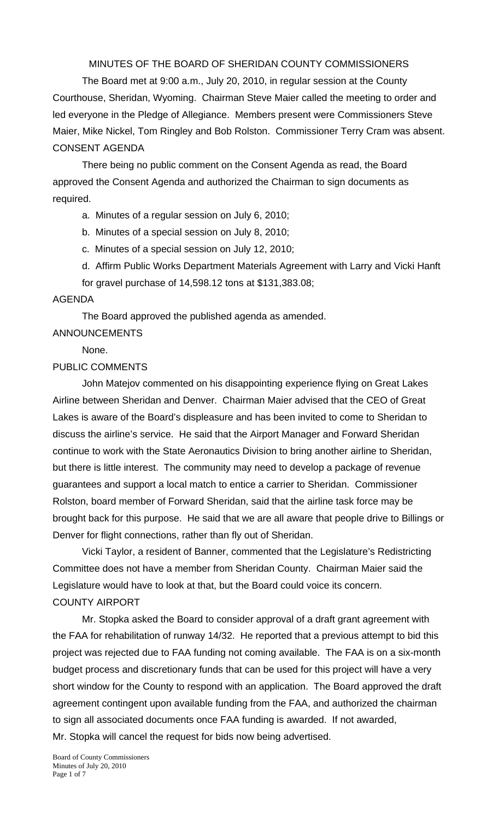MINUTES OF THE BOARD OF SHERIDAN COUNTY COMMISSIONERS

 The Board met at 9:00 a.m., July 20, 2010, in regular session at the County Courthouse, Sheridan, Wyoming. Chairman Steve Maier called the meeting to order and led everyone in the Pledge of Allegiance. Members present were Commissioners Steve Maier, Mike Nickel, Tom Ringley and Bob Rolston. Commissioner Terry Cram was absent. CONSENT AGENDA

There being no public comment on the Consent Agenda as read, the Board approved the Consent Agenda and authorized the Chairman to sign documents as required.

a. Minutes of a regular session on July 6, 2010;

b. Minutes of a special session on July 8, 2010;

c. Minutes of a special session on July 12, 2010;

d. Affirm Public Works Department Materials Agreement with Larry and Vicki Hanft for gravel purchase of 14,598.12 tons at \$131,383.08;

### AGENDA

The Board approved the published agenda as amended. ANNOUNCEMENTS

None.

### PUBLIC COMMENTS

 John Matejov commented on his disappointing experience flying on Great Lakes Airline between Sheridan and Denver. Chairman Maier advised that the CEO of Great Lakes is aware of the Board's displeasure and has been invited to come to Sheridan to discuss the airline's service. He said that the Airport Manager and Forward Sheridan continue to work with the State Aeronautics Division to bring another airline to Sheridan, but there is little interest. The community may need to develop a package of revenue guarantees and support a local match to entice a carrier to Sheridan. Commissioner Rolston, board member of Forward Sheridan, said that the airline task force may be brought back for this purpose. He said that we are all aware that people drive to Billings or Denver for flight connections, rather than fly out of Sheridan.

 Vicki Taylor, a resident of Banner, commented that the Legislature's Redistricting Committee does not have a member from Sheridan County. Chairman Maier said the Legislature would have to look at that, but the Board could voice its concern. COUNTY AIRPORT

 Mr. Stopka asked the Board to consider approval of a draft grant agreement with the FAA for rehabilitation of runway 14/32. He reported that a previous attempt to bid this project was rejected due to FAA funding not coming available. The FAA is on a six-month budget process and discretionary funds that can be used for this project will have a very short window for the County to respond with an application. The Board approved the draft agreement contingent upon available funding from the FAA, and authorized the chairman to sign all associated documents once FAA funding is awarded. If not awarded, Mr. Stopka will cancel the request for bids now being advertised.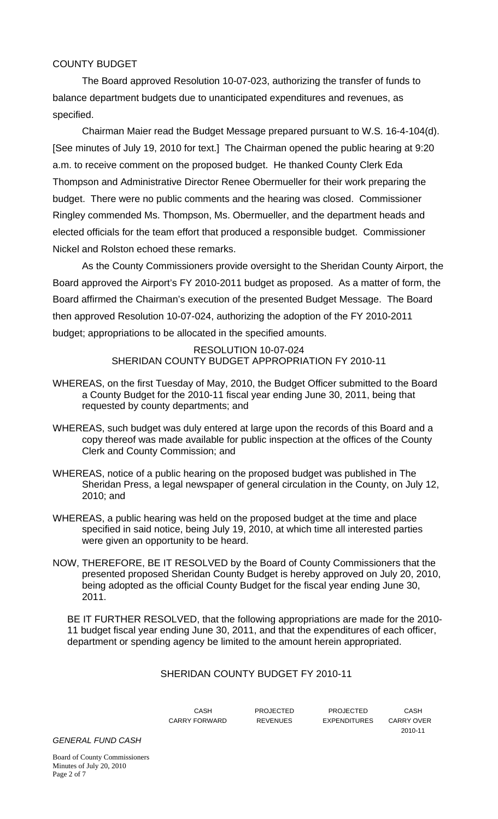# COUNTY BUDGET

 The Board approved Resolution 10-07-023, authorizing the transfer of funds to balance department budgets due to unanticipated expenditures and revenues, as specified.

 Chairman Maier read the Budget Message prepared pursuant to W.S. 16-4-104(d). [See minutes of July 19, 2010 for text.] The Chairman opened the public hearing at 9:20 a.m. to receive comment on the proposed budget. He thanked County Clerk Eda Thompson and Administrative Director Renee Obermueller for their work preparing the budget. There were no public comments and the hearing was closed. Commissioner Ringley commended Ms. Thompson, Ms. Obermueller, and the department heads and elected officials for the team effort that produced a responsible budget. Commissioner Nickel and Rolston echoed these remarks.

 As the County Commissioners provide oversight to the Sheridan County Airport, the Board approved the Airport's FY 2010-2011 budget as proposed. As a matter of form, the Board affirmed the Chairman's execution of the presented Budget Message. The Board then approved Resolution 10-07-024, authorizing the adoption of the FY 2010-2011 budget; appropriations to be allocated in the specified amounts.

# RESOLUTION 10-07-024 SHERIDAN COUNTY BUDGET APPROPRIATION FY 2010-11

- WHEREAS, on the first Tuesday of May, 2010, the Budget Officer submitted to the Board a County Budget for the 2010-11 fiscal year ending June 30, 2011, being that requested by county departments; and
- WHEREAS, such budget was duly entered at large upon the records of this Board and a copy thereof was made available for public inspection at the offices of the County Clerk and County Commission; and
- WHEREAS, notice of a public hearing on the proposed budget was published in The Sheridan Press, a legal newspaper of general circulation in the County, on July 12, 2010; and
- WHEREAS, a public hearing was held on the proposed budget at the time and place specified in said notice, being July 19, 2010, at which time all interested parties were given an opportunity to be heard.
- NOW, THEREFORE, BE IT RESOLVED by the Board of County Commissioners that the presented proposed Sheridan County Budget is hereby approved on July 20, 2010, being adopted as the official County Budget for the fiscal year ending June 30, 2011.

BE IT FURTHER RESOLVED, that the following appropriations are made for the 2010- 11 budget fiscal year ending June 30, 2011, and that the expenditures of each officer, department or spending agency be limited to the amount herein appropriated.

# SHERIDAN COUNTY BUDGET FY 2010-11

| CASH                 |
|----------------------|
| <b>CARRY FORWARD</b> |

PROJECTED PROJECTED CASH REVENUES EXPENDITURES CARRY OVER

2010-11

*GENERAL FUND CASH*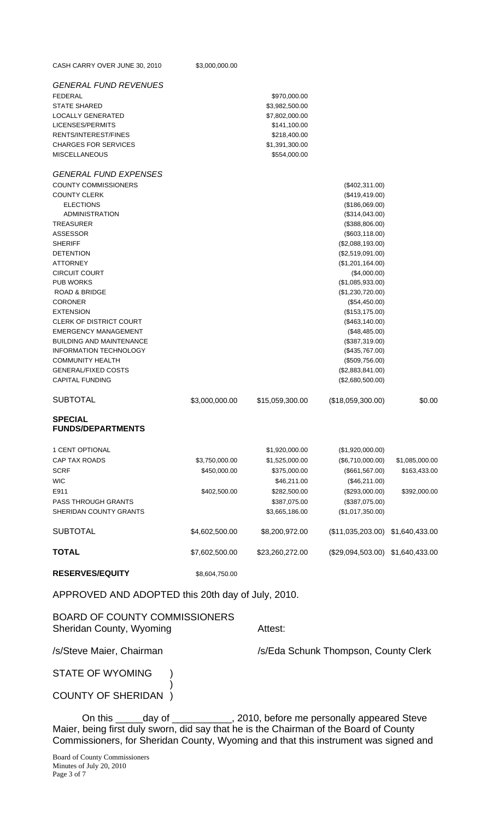| CASH CARRY OVER JUNE 30, 2010                     | \$3,000,000.00 |                 |                                  |                |  |
|---------------------------------------------------|----------------|-----------------|----------------------------------|----------------|--|
| <b>GENERAL FUND REVENUES</b>                      |                |                 |                                  |                |  |
| <b>FEDERAL</b>                                    |                | \$970,000.00    |                                  |                |  |
| <b>STATE SHARED</b>                               |                | \$3,982,500.00  |                                  |                |  |
| <b>LOCALLY GENERATED</b>                          |                | \$7,802,000.00  |                                  |                |  |
| LICENSES/PERMITS                                  |                | \$141,100.00    |                                  |                |  |
| RENTS/INTEREST/FINES                              |                | \$218,400.00    |                                  |                |  |
| <b>CHARGES FOR SERVICES</b>                       |                | \$1,391,300.00  |                                  |                |  |
| <b>MISCELLANEOUS</b>                              |                | \$554,000.00    |                                  |                |  |
| <b>GENERAL FUND EXPENSES</b>                      |                |                 |                                  |                |  |
| <b>COUNTY COMMISSIONERS</b>                       |                |                 | (\$402,311.00)                   |                |  |
| <b>COUNTY CLERK</b>                               |                |                 | (\$419,419.00)                   |                |  |
| <b>ELECTIONS</b>                                  |                |                 | (\$186,069.00)                   |                |  |
| <b>ADMINISTRATION</b>                             |                |                 | (\$314,043.00)                   |                |  |
| <b>TREASURER</b>                                  |                |                 | (\$388,806.00)                   |                |  |
| <b>ASSESSOR</b>                                   |                |                 | (\$603,118.00)                   |                |  |
| <b>SHERIFF</b>                                    |                |                 | (\$2,088,193.00)                 |                |  |
| <b>DETENTION</b>                                  |                |                 | (\$2,519,091.00)                 |                |  |
| <b>ATTORNEY</b>                                   |                |                 | (\$1,201,164.00)                 |                |  |
| <b>CIRCUIT COURT</b>                              |                |                 | (\$4,000.00)                     |                |  |
| <b>PUB WORKS</b>                                  |                |                 | (\$1,085,933.00)                 |                |  |
| <b>ROAD &amp; BRIDGE</b>                          |                |                 | (\$1,230,720.00)                 |                |  |
| <b>CORONER</b>                                    |                |                 | (\$54,450.00)                    |                |  |
| <b>EXTENSION</b>                                  |                |                 | (\$153, 175.00)                  |                |  |
| <b>CLERK OF DISTRICT COURT</b>                    |                |                 | (\$463,140.00)                   |                |  |
| <b>EMERGENCY MANAGEMENT</b>                       |                |                 | (\$48,485.00)                    |                |  |
| <b>BUILDING AND MAINTENANCE</b>                   |                |                 | (\$387,319.00)                   |                |  |
| <b>INFORMATION TECHNOLOGY</b>                     |                |                 | (\$435,767.00)                   |                |  |
| <b>COMMUNITY HEALTH</b>                           |                |                 | (\$509,756.00)                   |                |  |
| <b>GENERAL/FIXED COSTS</b>                        |                |                 | (\$2,883,841.00)                 |                |  |
| <b>CAPITAL FUNDING</b>                            |                |                 | (\$2,680,500.00)                 |                |  |
| <b>SUBTOTAL</b>                                   | \$3,000,000.00 | \$15,059,300.00 | (\$18,059,300.00)                | \$0.00         |  |
| <b>SPECIAL</b><br><b>FUNDS/DEPARTMENTS</b>        |                |                 |                                  |                |  |
|                                                   |                |                 |                                  |                |  |
| 1 CENT OPTIONAL                                   |                | \$1,920,000.00  | (\$1,920,000.00)                 |                |  |
| CAP TAX ROADS                                     | \$3,750,000.00 | \$1,525,000.00  | (\$6,710,000.00)                 | \$1,085,000.00 |  |
| <b>SCRF</b>                                       | \$450,000.00   | \$375,000.00    | (\$661,567.00)                   | \$163,433.00   |  |
| <b>WIC</b>                                        |                | \$46,211.00     | (\$46,211.00)                    |                |  |
| E911                                              | \$402,500.00   | \$282,500.00    | (\$293,000.00)                   | \$392,000.00   |  |
| <b>PASS THROUGH GRANTS</b>                        |                | \$387,075.00    | (\$387,075.00)                   |                |  |
| SHERIDAN COUNTY GRANTS                            |                | \$3,665,186.00  | (\$1,017,350.00)                 |                |  |
| <b>SUBTOTAL</b>                                   | \$4,602,500.00 | \$8,200,972.00  | (\$11,035,203.00)                | \$1,640,433.00 |  |
| <b>TOTAL</b>                                      | \$7,602,500.00 | \$23,260,272.00 | (\$29,094,503.00) \$1,640,433.00 |                |  |
| <b>RESERVES/EQUITY</b>                            | \$8,604,750.00 |                 |                                  |                |  |
| APPROVED AND ADOPTED this 20th day of July, 2010. |                |                 |                                  |                |  |

BOARD OF COUNTY COMMISSIONERS Sheridan County, Wyoming **Attest:** 

/s/Steve Maier, Chairman /s/Eda Schunk Thompson, County Clerk

STATE OF WYOMING )  $\overline{\phantom{a}}$ 

COUNTY OF SHERIDAN )

On this \_\_\_\_\_day of \_\_\_\_\_\_\_\_\_\_, 2010, before me personally appeared Steve Maier, being first duly sworn, did say that he is the Chairman of the Board of County Commissioners, for Sheridan County, Wyoming and that this instrument was signed and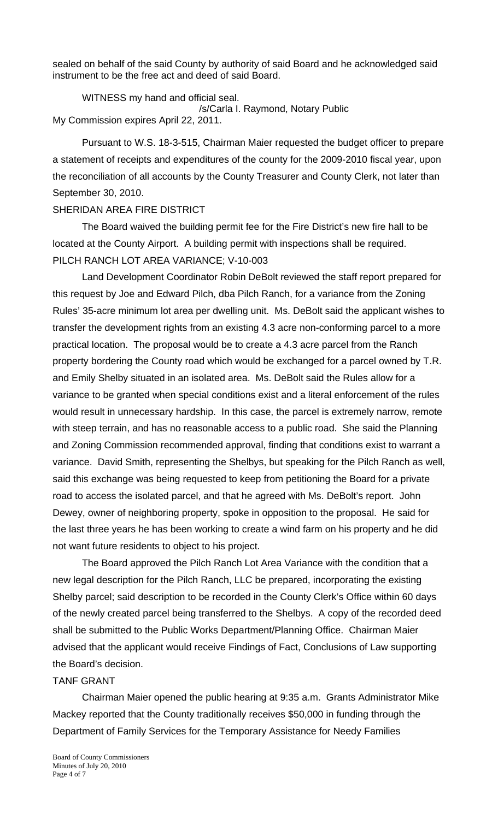sealed on behalf of the said County by authority of said Board and he acknowledged said instrument to be the free act and deed of said Board.

 WITNESS my hand and official seal. /s/Carla I. Raymond, Notary Public My Commission expires April 22, 2011.

 Pursuant to W.S. 18-3-515, Chairman Maier requested the budget officer to prepare a statement of receipts and expenditures of the county for the 2009-2010 fiscal year, upon the reconciliation of all accounts by the County Treasurer and County Clerk, not later than September 30, 2010.

### SHERIDAN AREA FIRE DISTRICT

 The Board waived the building permit fee for the Fire District's new fire hall to be located at the County Airport. A building permit with inspections shall be required. PILCH RANCH LOT AREA VARIANCE; V-10-003

 Land Development Coordinator Robin DeBolt reviewed the staff report prepared for this request by Joe and Edward Pilch, dba Pilch Ranch, for a variance from the Zoning Rules' 35-acre minimum lot area per dwelling unit. Ms. DeBolt said the applicant wishes to transfer the development rights from an existing 4.3 acre non-conforming parcel to a more practical location. The proposal would be to create a 4.3 acre parcel from the Ranch property bordering the County road which would be exchanged for a parcel owned by T.R. and Emily Shelby situated in an isolated area. Ms. DeBolt said the Rules allow for a variance to be granted when special conditions exist and a literal enforcement of the rules would result in unnecessary hardship. In this case, the parcel is extremely narrow, remote with steep terrain, and has no reasonable access to a public road. She said the Planning and Zoning Commission recommended approval, finding that conditions exist to warrant a variance. David Smith, representing the Shelbys, but speaking for the Pilch Ranch as well, said this exchange was being requested to keep from petitioning the Board for a private road to access the isolated parcel, and that he agreed with Ms. DeBolt's report. John Dewey, owner of neighboring property, spoke in opposition to the proposal. He said for the last three years he has been working to create a wind farm on his property and he did not want future residents to object to his project.

The Board approved the Pilch Ranch Lot Area Variance with the condition that a new legal description for the Pilch Ranch, LLC be prepared, incorporating the existing Shelby parcel; said description to be recorded in the County Clerk's Office within 60 days of the newly created parcel being transferred to the Shelbys. A copy of the recorded deed shall be submitted to the Public Works Department/Planning Office. Chairman Maier advised that the applicant would receive Findings of Fact, Conclusions of Law supporting the Board's decision.

# TANF GRANT

 Chairman Maier opened the public hearing at 9:35 a.m. Grants Administrator Mike Mackey reported that the County traditionally receives \$50,000 in funding through the Department of Family Services for the Temporary Assistance for Needy Families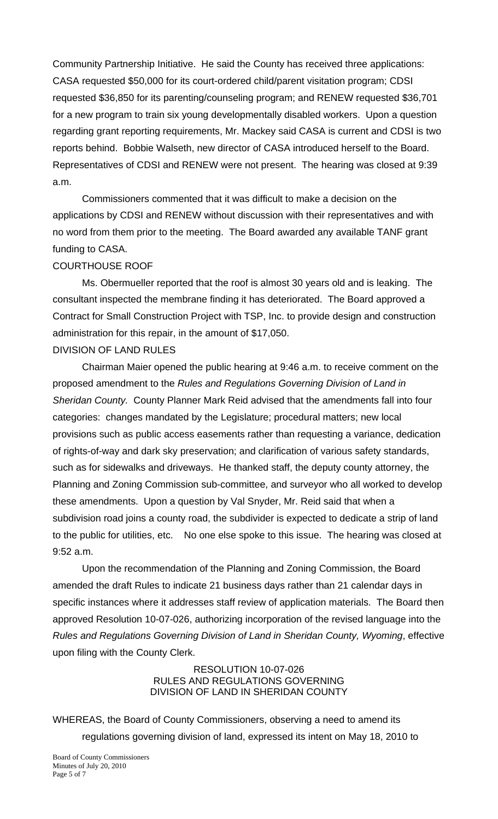Community Partnership Initiative. He said the County has received three applications: CASA requested \$50,000 for its court-ordered child/parent visitation program; CDSI requested \$36,850 for its parenting/counseling program; and RENEW requested \$36,701 for a new program to train six young developmentally disabled workers. Upon a question regarding grant reporting requirements, Mr. Mackey said CASA is current and CDSI is two reports behind. Bobbie Walseth, new director of CASA introduced herself to the Board. Representatives of CDSI and RENEW were not present. The hearing was closed at 9:39 a.m.

 Commissioners commented that it was difficult to make a decision on the applications by CDSI and RENEW without discussion with their representatives and with no word from them prior to the meeting. The Board awarded any available TANF grant funding to CASA.

# COURTHOUSE ROOF

 Ms. Obermueller reported that the roof is almost 30 years old and is leaking. The consultant inspected the membrane finding it has deteriorated. The Board approved a Contract for Small Construction Project with TSP, Inc. to provide design and construction administration for this repair, in the amount of \$17,050.

# DIVISION OF LAND RULES

 Chairman Maier opened the public hearing at 9:46 a.m. to receive comment on the proposed amendment to the *Rules and Regulations Governing Division of Land in Sheridan County.* County Planner Mark Reid advised that the amendments fall into four categories: changes mandated by the Legislature; procedural matters; new local provisions such as public access easements rather than requesting a variance, dedication of rights-of-way and dark sky preservation; and clarification of various safety standards, such as for sidewalks and driveways. He thanked staff, the deputy county attorney, the Planning and Zoning Commission sub-committee, and surveyor who all worked to develop these amendments. Upon a question by Val Snyder, Mr. Reid said that when a subdivision road joins a county road, the subdivider is expected to dedicate a strip of land to the public for utilities, etc. No one else spoke to this issue. The hearing was closed at 9:52 a.m.

 Upon the recommendation of the Planning and Zoning Commission, the Board amended the draft Rules to indicate 21 business days rather than 21 calendar days in specific instances where it addresses staff review of application materials. The Board then approved Resolution 10-07-026, authorizing incorporation of the revised language into the *Rules and Regulations Governing Division of Land in Sheridan County, Wyoming*, effective upon filing with the County Clerk.

#### RESOLUTION 10-07-026 RULES AND REGULATIONS GOVERNING DIVISION OF LAND IN SHERIDAN COUNTY

WHEREAS, the Board of County Commissioners, observing a need to amend its regulations governing division of land, expressed its intent on May 18, 2010 to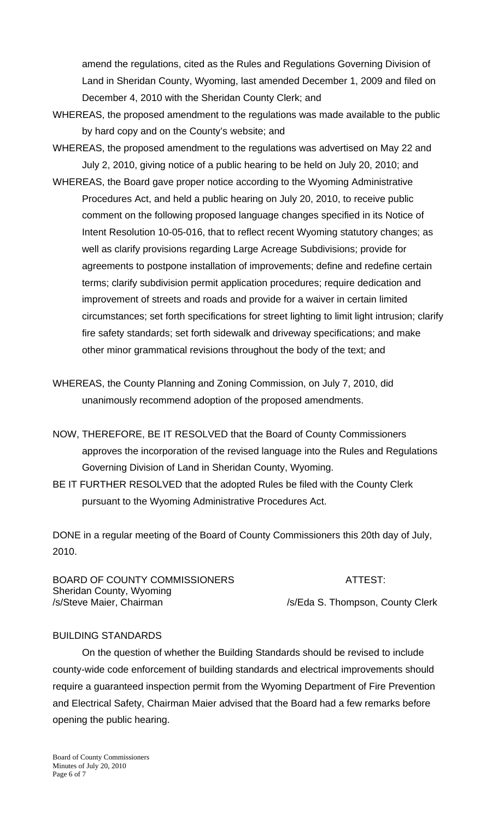amend the regulations, cited as the Rules and Regulations Governing Division of Land in Sheridan County, Wyoming, last amended December 1, 2009 and filed on December 4, 2010 with the Sheridan County Clerk; and

- WHEREAS, the proposed amendment to the regulations was made available to the public by hard copy and on the County's website; and
- WHEREAS, the proposed amendment to the regulations was advertised on May 22 and July 2, 2010, giving notice of a public hearing to be held on July 20, 2010; and
- WHEREAS, the Board gave proper notice according to the Wyoming Administrative Procedures Act, and held a public hearing on July 20, 2010, to receive public comment on the following proposed language changes specified in its Notice of Intent Resolution 10-05-016, that to reflect recent Wyoming statutory changes; as well as clarify provisions regarding Large Acreage Subdivisions; provide for agreements to postpone installation of improvements; define and redefine certain terms; clarify subdivision permit application procedures; require dedication and improvement of streets and roads and provide for a waiver in certain limited circumstances; set forth specifications for street lighting to limit light intrusion; clarify fire safety standards; set forth sidewalk and driveway specifications; and make other minor grammatical revisions throughout the body of the text; and
- WHEREAS, the County Planning and Zoning Commission, on July 7, 2010, did unanimously recommend adoption of the proposed amendments.
- NOW, THEREFORE, BE IT RESOLVED that the Board of County Commissioners approves the incorporation of the revised language into the Rules and Regulations Governing Division of Land in Sheridan County, Wyoming.
- BE IT FURTHER RESOLVED that the adopted Rules be filed with the County Clerk pursuant to the Wyoming Administrative Procedures Act.

DONE in a regular meeting of the Board of County Commissioners this 20th day of July, 2010.

BOARD OF COUNTY COMMISSIONERS **ATTEST:** Sheridan County, Wyoming /s/Steve Maier, Chairman /s/Eda S. Thompson, County Clerk

# BUILDING STANDARDS

 On the question of whether the Building Standards should be revised to include county-wide code enforcement of building standards and electrical improvements should require a guaranteed inspection permit from the Wyoming Department of Fire Prevention and Electrical Safety, Chairman Maier advised that the Board had a few remarks before opening the public hearing.